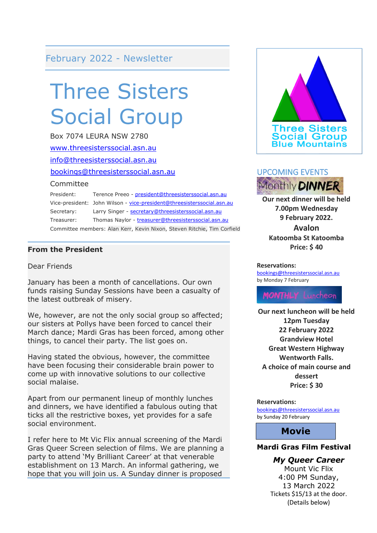#### February 2022 - Newsletter

## Three Sisters Social Group

Box 7074 LEURA NSW 2780 [www.threesisterssocial.asn.au](http://www.threesisterssocial.asn.au/) [info@threesisterssocial.asn.au](mailto:info@threesisterssocial.asn.au) [bookings@threesisterssocial.asn.au](mailto:bookings@threesisterssocial.asn.au) Committee President: Terence Preeo - [president@threesisterssocial.asn.au](mailto:president@threesisterssocial.asn.au) Vice-president: John Wilson - [vice-president@threesisterssocial.asn.au](mailto:vice-president@threesisterssocial.asn.au) Secretary: Larry Singer - [secretary@threesisterssocial.asn.au](mailto:secretary@threesisterssocial.asn.au) Treasurer: Thomas Naylor - [treasurer@threesisterssocial.asn.au](mailto:treasurer@threesisterssocial.asn.au)

Committee members: Alan Kerr, Kevin Nixon, Steven Ritchie, Tim Corfield

#### **From the President**

Dear Friends

January has been a month of cancellations. Our own funds raising Sunday Sessions have been a casualty of the latest outbreak of misery.

We, however, are not the only social group so affected; our sisters at Pollys have been forced to cancel their March dance; Mardi Gras has been forced, among other things, to cancel their party. The list goes on.

Having stated the obvious, however, the committee have been focusing their considerable brain power to come up with innovative solutions to our collective social malaise.

Apart from our permanent lineup of monthly lunches and dinners, we have identified a fabulous outing that ticks all the restrictive boxes, yet provides for a safe social environment.

I refer here to Mt Vic Flix annual screening of the Mardi Gras Queer Screen selection of films. We are planning a party to attend 'My Brilliant Career' at that venerable establishment on 13 March. An informal gathering, we hope that you will join us. A Sunday dinner is proposed





**Our next dinner will be held 7.00pm Wednesday 9 February 2022. Avalon Katoomba St Katoomba Price: \$ 40**

#### **Reservations:**

[bookings@threesisterssocial.asn.au](mailto:bookings@threesisterssocial.asn.au) by Monday 7 February

**MONTHLY** Luncheon

**Our next luncheon will be held 12pm Tuesday 22 February 2022 Grandview Hotel Great Western Highway Wentworth Falls. A choice of main course and dessert Price: \$ 30**

**Reservations:** [bookings@threesisterssocial.asn.au](mailto:bookings@threesisterssocial.asn.au) by Sunday 20 February

#### **Movie**

#### **Mardi Gras Film Festival**

*My Queer Career*

Mount Vic Flix 4:00 PM Sunday, 13 March 2022 Tickets \$15/13 at the door. (Details below)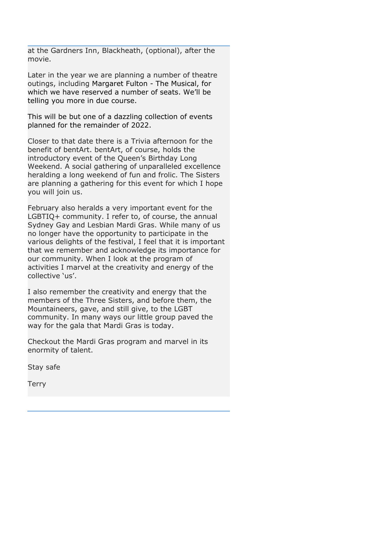at the Gardners Inn, Blackheath, (optional), after the movie.

Later in the year we are planning a number of theatre outings, including Margaret Fulton - The Musical, for which we have reserved a number of seats. We'll be telling you more in due course.

This will be but one of a dazzling collection of events planned for the remainder of 2022.

Closer to that date there is a Trivia afternoon for the benefit of bentArt. bentArt, of course, holds the introductory event of the Queen's Birthday Long Weekend. A social gathering of unparalleled excellence heralding a long weekend of fun and frolic. The Sisters are planning a gathering for this event for which I hope you will join us.

February also heralds a very important event for the LGBTIQ+ community. I refer to, of course, the annual Sydney Gay and Lesbian Mardi Gras. While many of us no longer have the opportunity to participate in the various delights of the festival, I feel that it is important that we remember and acknowledge its importance for our community. When I look at the program of activities I marvel at the creativity and energy of the collective 'us'.

I also remember the creativity and energy that the members of the Three Sisters, and before them, the Mountaineers, gave, and still give, to the LGBT community. In many ways our little group paved the way for the gala that Mardi Gras is today.

Checkout the Mardi Gras program and marvel in its enormity of talent.

Stay safe

**Terry**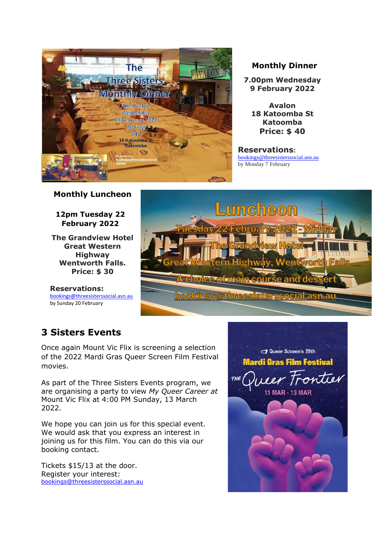

#### **Monthly Dinner**

**7.00pm Wednesday 9 February 2022**

**Avalon 18 Katoomba St Katoomba Price: \$ 40**

**Reservations:** [bookings@threesisterssocial.asn.au](mailto:bookings@threesisterssocial.asn.au) by Monday 7 February

#### **Monthly Luncheon**

**12pm Tuesday 22 February 2022**

**The Grandview Hotel Great Western Highway Wentworth Falls. Price: \$ 30**

**Reservations:** [bookings@threesisterssocial.asn.au](mailto:bookings@threesisterssocial.asn.au) by Sunday 20 February



#### **3 Sisters Events**

Once again Mount Vic Flix is screening a selection of the 2022 Mardi Gras Queer Screen Film Festival movies.

As part of the Three Sisters Events program, we are organising a party to view *My Queer Career at*  Mount Vic Flix at 4:00 PM Sunday, 13 March 2022.

We hope you can join us for this special event. We would ask that you express an interest in joining us for this film. You can do this via our booking contact.

Tickets \$15/13 at the door. Register your interest: [bookings@threesisterssocial.asn.au](mailto:bookings@threesisterssocial.asn.au)

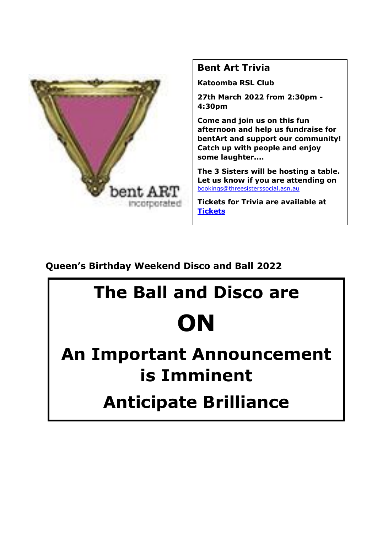

#### **Bent Art Trivia**

**Katoomba RSL Club**

**27th March 2022 from 2:30pm - 4:30pm**

**Come and join us on this fun afternoon and help us fundraise for bentArt and support our community! Catch up with people and enjoy some laughter....**

**The 3 Sisters will be hosting a table. Let us know if you are attending on**  [bookings@threesisterssocial.asn.au](mailto:bookings@threesisterssocial.asn.au)

**Tickets for Trivia are available at [Tickets](https://events.humanitix.com/trivia-night-rufciawt?fbclid=IwAR3SE53bGyIJf31IDKGKDeKnSdbWq3BPE0nwYJHsKJxtXJSHYj6oP2QcRxA)**

**Queen's Birthday Weekend Disco and Ball 2022**

# **The Ball and Disco are ON**

## **An Important Announcement is Imminent**

## **Anticipate Brilliance**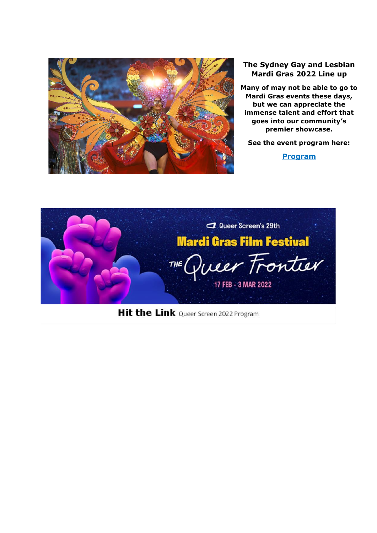

#### **The Sydney Gay and Lesbian Mardi Gras 2022 Line up**

**Many of may not be able to go to Mardi Gras events these days, but we can appreciate the immense talent and effort that goes into our community's premier showcase.** 

**See the event program here:**

**[Program](https://mailchi.mp/mardigras.org.au/introducing-2022-entertainment-lineup?e=e1c3cc5fec)**



Hit the Link Queer Screen 2022 Program